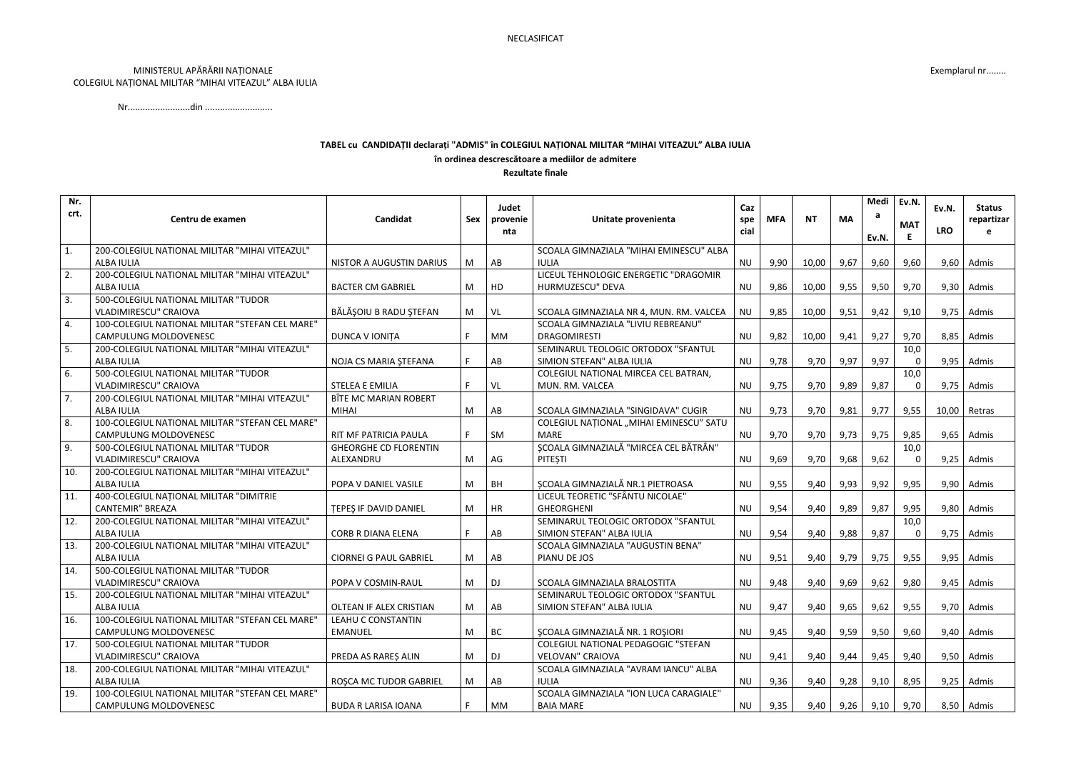## MINISTERUL APĂRĂRII NAȚIONALE COLEGIUL NAȚIONAL MILITAR "MIHAI VITEAZUL" ALBA IULIA

## TABEL cu CANDIDAȚII declarați "ADMIS" în COLEGIUL NAȚIONAL MILITAR "MIHAI VITEAZUL" ALBA IULIA în ordinea descrescătoare a mediilor de admitere

**Rezultate finale** 

| Nr.  |                                                 |                               |            |                 |                                         |             |            |           |           | Medi  | Ev.N.      |            |               |
|------|-------------------------------------------------|-------------------------------|------------|-----------------|-----------------------------------------|-------------|------------|-----------|-----------|-------|------------|------------|---------------|
| crt. | Centru de examen                                | Candidat                      |            | Judet           | Unitate provenienta                     | Caz         | <b>MFA</b> | <b>NT</b> | <b>MA</b> | а     |            | Ev.N.      | <b>Status</b> |
|      |                                                 |                               | <b>Sex</b> | provenie<br>nta |                                         | spe<br>cial |            |           |           |       | <b>MAT</b> | <b>LRO</b> | repartizar    |
|      |                                                 |                               |            |                 |                                         |             |            |           |           | Ev.N. | E          |            |               |
| 1.   | 200-COLEGIUL NATIONAL MILITAR "MIHAI VITEAZUL"  |                               |            |                 | SCOALA GIMNAZIALA "MIHAI EMINESCU" ALBA |             |            |           |           |       |            |            |               |
|      | <b>ALBA IULIA</b>                               | NISTOR A AUGUSTIN DARIUS      | M          | AB              | <b>IULIA</b>                            | <b>NU</b>   | 9,90       | 10,00     | 9,67      | 9,60  | 9,60       |            | $9,60$ Admis  |
| 2.   | 200-COLEGIUL NATIONAL MILITAR "MIHAI VITEAZUL"  |                               |            |                 | LICEUL TEHNOLOGIC ENERGETIC "DRAGOMIR   |             |            |           |           |       |            |            |               |
|      | <b>ALBA IULIA</b>                               | <b>BACTER CM GABRIEL</b>      | M          | HD              | HURMUZESCU" DEVA                        | <b>NU</b>   | 9,86       | 10,00     | 9,55      | 9,50  | 9,70       |            | $9,30$ Admis  |
| 3.   | 500-COLEGIUL NATIONAL MILITAR "TUDOR            |                               |            |                 |                                         |             |            |           |           |       |            |            |               |
|      | <b>VLADIMIRESCU" CRAIOVA</b>                    | BĂLĂȘOIU B RADU ȘTEFAN        | M          | VL              | SCOALA GIMNAZIALA NR 4, MUN. RM. VALCEA | <b>NU</b>   | 9,85       | 10,00     | 9,51      | 9,42  | 9,10       | 9,75       | Admis         |
| 4.   | 100-COLEGIUL NATIONAL MILITAR "STEFAN CEL MARE" |                               |            |                 | SCOALA GIMNAZIALA "LIVIU REBREANU"      |             |            |           |           |       |            |            |               |
|      | <b>CAMPULUNG MOLDOVENESC</b>                    | DUNCA V IONIȚA                |            | МM              | <b>DRAGOMIRESTI</b>                     | <b>NU</b>   | 9,82       | 10,00     | 9,41      | 9,27  | 9,70       |            | $8,85$ Admis  |
| 5.   | 200-COLEGIUL NATIONAL MILITAR "MIHAI VITEAZUL"  |                               |            |                 | SEMINARUL TEOLOGIC ORTODOX "SFANTUL     |             |            |           |           |       | 10,0       |            |               |
|      | <b>ALBA IULIA</b>                               | NOJA CS MARIA ȘTEFANA         | F.         | AB              | SIMION STEFAN" ALBA IULIA               | <b>NU</b>   | 9,78       | 9,70      | 9,97      | 9,97  |            | 9,95       | Admis         |
| 6.   | 500-COLEGIUL NATIONAL MILITAR "TUDOR            |                               |            |                 | COLEGIUL NATIONAL MIRCEA CEL BATRAN,    |             |            |           |           |       | 10,0       |            |               |
|      | <b>VLADIMIRESCU" CRAIOVA</b>                    | <b>STELEA E EMILIA</b>        |            | VL              | MUN. RM. VALCEA                         | <b>NU</b>   | 9,75       | 9,70      | 9,89      | 9,87  | $\Omega$   |            | $9,75$ Admis  |
| 7.   | 200-COLEGIUL NATIONAL MILITAR "MIHAI VITEAZUL"  | BÎTE MC MARIAN ROBERT         |            |                 |                                         |             |            |           |           |       |            |            |               |
|      | <b>ALBA IULIA</b>                               | MIHAI                         | M          | AB              | SCOALA GIMNAZIALA "SINGIDAVA" CUGIR     | <b>NU</b>   | 9,73       | 9,70      | 9,81      | 9,77  | 9,55       | 10,00      | Retras        |
| 8.   | 100-COLEGIUL NATIONAL MILITAR "STEFAN CEL MARE" |                               |            |                 | COLEGIUL NAȚIONAL "MIHAI EMINESCU" SATU |             |            |           |           |       |            |            |               |
|      | <b>CAMPULUNG MOLDOVENESC</b>                    | RIT MF PATRICIA PAULA         |            | SM              | <b>MARE</b>                             | <b>NU</b>   | 9,70       | 9,70      | 9,73      | 9,75  | 9,85       | 9,65       | Admis         |
| 9.   | 500-COLEGIUL NATIONAL MILITAR "TUDOR            | <b>GHEORGHE CD FLORENTIN</b>  |            |                 | ȘCOALA GIMNAZIALĂ "MIRCEA CEL BĂTRÂN"   |             |            |           |           |       | 10,0       |            |               |
|      | VLADIMIRESCU" CRAIOVA                           | ALEXANDRU                     | M          | AG              | PITEȘTI                                 | <b>NU</b>   | 9,69       | 9,70      | 9,68      | 9,62  |            | 9,25       | Admis         |
| 10.  | 200-COLEGIUL NATIONAL MILITAR "MIHAI VITEAZUL"  |                               |            |                 |                                         |             |            |           |           |       |            |            |               |
|      | <b>ALBA IULIA</b>                               | POPA V DANIEL VASILE          | M          | BH              | ȘCOALA GIMNAZIALĂ NR.1 PIETROASA        | <b>NU</b>   | 9,55       | 9,40      | 9,93      | 9,92  | 9,95       | 9,90       | Admis         |
| 11.  | 400-COLEGIUL NAȚIONAL MILITAR "DIMITRIE         |                               |            |                 | LICEUL TEORETIC "SFÂNTU NICOLAE"        |             |            |           |           |       |            |            |               |
|      | <b>CANTEMIR" BREAZA</b>                         | <b>TEPES IF DAVID DANIEL</b>  | M          | HR              | <b>GHEORGHENI</b>                       | <b>NU</b>   | 9,54       | 9,40      | 9,89      | 9,87  | 9,95       |            | $9,80$ Admis  |
| 12.  | 200-COLEGIUL NATIONAL MILITAR "MIHAI VITEAZUL"  |                               |            |                 | SEMINARUL TEOLOGIC ORTODOX "SFANTUL     |             |            |           |           |       | 10,0       |            |               |
|      | <b>ALBA IULIA</b>                               | <b>CORB R DIANA ELENA</b>     | F.         | AB              | SIMION STEFAN" ALBA IULIA               | <b>NU</b>   | 9,54       | 9,40      | 9,88      | 9,87  | $\Omega$   | 9,75       | Admis         |
| 13.  | 200-COLEGIUL NATIONAL MILITAR "MIHAI VITEAZUL"  |                               |            |                 | SCOALA GIMNAZIALA "AUGUSTIN BENA"       |             |            |           |           |       |            |            |               |
|      | <b>ALBA IULIA</b>                               | <b>CIORNEI G PAUL GABRIEL</b> | M          | AB              | PIANU DE JOS                            | <b>NU</b>   | 9,51       | 9,40      | 9,79      | 9,75  | 9,55       | 9,95       | Admis         |
| 14.  | 500-COLEGIUL NATIONAL MILITAR "TUDOR            |                               |            |                 |                                         |             |            |           |           |       |            |            |               |
|      | <b>VLADIMIRESCU" CRAIOVA</b>                    | POPA V COSMIN-RAUL            | M          | DJ              | SCOALA GIMNAZIALA BRALOSTITA            | <b>NU</b>   | 9,48       | 9,40      | 9,69      | 9,62  | 9,80       |            | $9,45$ Admis  |
| 15.  | 200-COLEGIUL NATIONAL MILITAR "MIHAI VITEAZUL"  |                               |            |                 | SEMINARUL TEOLOGIC ORTODOX "SFANTUL     |             |            |           |           |       |            |            |               |
|      | ALBA IULIA                                      | OLTEAN IF ALEX CRISTIAN       | M          | AB              | SIMION STEFAN" ALBA IULIA               | <b>NU</b>   | 9,47       | 9,40      | 9,65      | 9,62  | 9,55       |            | $9,70$ Admis  |
| 16.  | 100-COLEGIUL NATIONAL MILITAR "STEFAN CEL MARE" | LEAHU C CONSTANTIN            |            |                 |                                         |             |            |           |           |       |            |            |               |
|      | <b>CAMPULUNG MOLDOVENESC</b>                    | <b>EMANUEL</b>                | M          | BC              | SCOALA GIMNAZIALĂ NR. 1 ROȘIORI         | <b>NU</b>   | 9,45       | 9,40      | 9,59      | 9,50  | 9,60       |            | $9,40$ Admis  |
| 17.  | 500-COLEGIUL NATIONAL MILITAR "TUDOR            |                               |            |                 | COLEGIUL NATIONAL PEDAGOGIC "STEFAN     |             |            |           |           |       |            |            |               |
|      | VLADIMIRESCU" CRAIOVA                           | PREDA AS RARES ALIN           | M          | DJ              | <b>VELOVAN" CRAIOVA</b>                 | <b>NU</b>   | 9,41       | 9,40      | 9,44      | 9,45  | 9,40       |            | $9,50$ Admis  |
| 18.  | 200-COLEGIUL NATIONAL MILITAR "MIHAI VITEAZUL"  |                               |            |                 | SCOALA GIMNAZIALA "AVRAM IANCU" ALBA    |             |            |           |           |       |            |            |               |
|      | ALBA IULIA                                      | ROȘCA MC TUDOR GABRIEL        | M          | AB              | <b>IULIA</b>                            | <b>NU</b>   | 9,36       | 9,40      | 9,28      | 9,10  | 8,95       | 9,25       | Admis         |
| 19.  | 100-COLEGIUL NATIONAL MILITAR "STEFAN CEL MARE" |                               |            |                 | SCOALA GIMNAZIALA "ION LUCA CARAGIALE"  |             |            |           |           |       |            |            |               |
|      | CAMPULUNG MOLDOVENESC                           | <b>BUDA R LARISA IOANA</b>    | F.         | МM              | <b>BAIA MARE</b>                        | NU          | 9,35       | 9,40      | 9,26      | 9,10  | 9,70       |            | 8,50 Admis    |

## Exemplarul nr........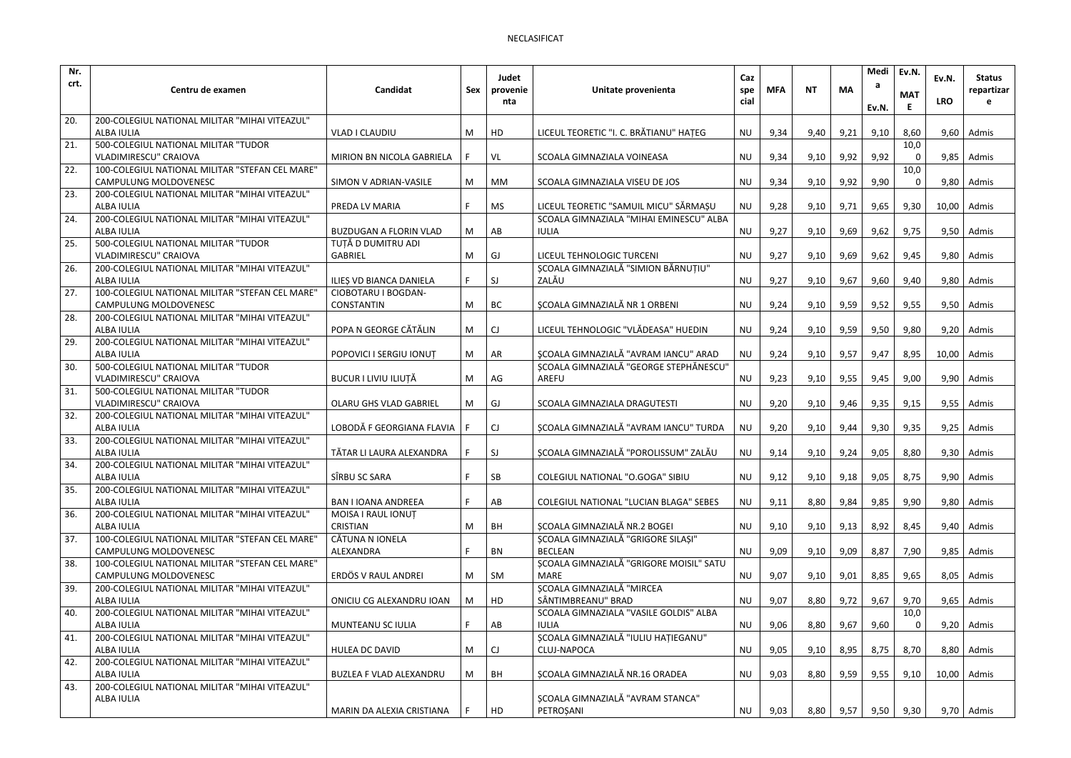| Nr.  |                                                              |                                |     | Judet     |                                                    | Caz       |            |           |           | Medi  | Ev.N.      | Ev.N.         | <b>Status</b>  |
|------|--------------------------------------------------------------|--------------------------------|-----|-----------|----------------------------------------------------|-----------|------------|-----------|-----------|-------|------------|---------------|----------------|
| crt. | Centru de examen                                             | Candidat                       | Sex | provenie  | Unitate provenienta                                | spe       | <b>MFA</b> | <b>NT</b> | <b>MA</b> | а     |            |               | repartizar     |
|      |                                                              |                                |     | nta       |                                                    | cial      |            |           |           | Ev.N. | <b>MAT</b> | <b>LRO</b>    |                |
| 20.  | 200-COLEGIUL NATIONAL MILITAR "MIHAI VITEAZUL"               |                                |     |           |                                                    |           |            |           |           |       |            |               |                |
|      | <b>ALBA IULIA</b>                                            | <b>VLAD I CLAUDIU</b>          | M   | HD        | LICEUL TEORETIC "I. C. BRĂTIANU" HAȚEG             | <b>NU</b> | 9,34       | 9,40      | 9,21      | 9,10  | 8,60       |               | $9,60$ Admis   |
| 21.  | 500-COLEGIUL NATIONAL MILITAR "TUDOR                         |                                |     |           |                                                    |           |            |           |           |       | 10,0       |               |                |
|      | <b>VLADIMIRESCU" CRAIOVA</b>                                 | MIRION BN NICOLA GABRIELA      |     | VL        | SCOALA GIMNAZIALA VOINEASA                         | <b>NU</b> | 9,34       | 9,10      | 9,92      | 9,92  |            | 9,85          | Admis          |
| 22.  | 100-COLEGIUL NATIONAL MILITAR "STEFAN CEL MARE"              |                                |     |           |                                                    |           |            |           |           |       | 10,0       |               |                |
|      | <b>CAMPULUNG MOLDOVENESC</b>                                 | SIMON V ADRIAN-VASILE          | M   | <b>MM</b> | SCOALA GIMNAZIALA VISEU DE JOS                     | <b>NU</b> | 9,34       | 9,10      | 9,92      | 9,90  | 0          |               | $9,80$   Admis |
| 23.  | 200-COLEGIUL NATIONAL MILITAR "MIHAI VITEAZUL"               |                                |     |           |                                                    |           |            |           |           |       |            |               |                |
|      | <b>ALBA IULIA</b>                                            | PREDA LV MARIA                 |     | MS        | LICEUL TEORETIC "SAMUIL MICU" SĂRMAȘU              | <b>NU</b> | 9,28       | 9,10      | 9,71      | 9,65  | 9,30       | 10,00         | Admis          |
| 24.  | 200-COLEGIUL NATIONAL MILITAR "MIHAI VITEAZUL"               |                                |     |           | SCOALA GIMNAZIALA "MIHAI EMINESCU" ALBA            |           |            |           |           |       |            |               |                |
|      | <b>ALBA IULIA</b>                                            | <b>BUZDUGAN A FLORIN VLAD</b>  | M   | AB        | <b>IULIA</b>                                       | <b>NU</b> | 9,27       | 9,10      | 9,69      | 9,62  | 9,75       |               | $9,50$ Admis   |
| 25.  | 500-COLEGIUL NATIONAL MILITAR "TUDOR                         | TUȚĂ D DUMITRU ADI             |     |           |                                                    |           |            |           |           |       |            |               |                |
|      | <b>VLADIMIRESCU" CRAIOVA</b>                                 | <b>GABRIEL</b>                 | M   | GJ        | LICEUL TEHNOLOGIC TURCENI                          | <b>NU</b> | 9,27       | 9,10      | 9,69      | 9,62  | 9,45       | 9,80          | Admis          |
| 26.  | 200-COLEGIUL NATIONAL MILITAR "MIHAI VITEAZUL"               |                                |     |           | SCOALA GIMNAZIALĂ "SIMION BĂRNUȚIU"                |           |            |           |           |       |            |               |                |
|      | <b>ALBA IULIA</b>                                            | ILIEȘ VD BIANCA DANIELA        | F.  | SJ        | ZALĂU                                              | <b>NU</b> | 9,27       | 9,10      | 9,67      | 9,60  | 9,40       |               | $9,80$ Admis   |
| 27.  | 100-COLEGIUL NATIONAL MILITAR "STEFAN CEL MARE"              | CIOBOTARU I BOGDAN-            |     |           |                                                    |           |            |           |           |       |            |               |                |
|      | <b>CAMPULUNG MOLDOVENESC</b>                                 | <b>CONSTANTIN</b>              | M   | BC        | <b>SCOALA GIMNAZIALĂ NR 1 ORBENI</b>               | <b>NU</b> | 9,24       | 9,10      | 9,59      | 9,52  | 9,55       |               | $9,50$ Admis   |
| 28.  | 200-COLEGIUL NATIONAL MILITAR "MIHAI VITEAZUL"               | POPA N GEORGE CĂTĂLIN          |     |           | LICEUL TEHNOLOGIC "VLĂDEASA" HUEDIN                |           |            |           |           |       |            |               |                |
| 29.  | ALBA IULIA<br>200-COLEGIUL NATIONAL MILITAR "MIHAI VITEAZUL" |                                | M   | CJ        |                                                    | <b>NU</b> | 9,24       | 9,10      | 9,59      | 9,50  | 9,80       |               | $9,20$ Admis   |
|      | <b>ALBA IULIA</b>                                            | POPOVICI I SERGIU IONUȚ        | M   | AR        | <b>SCOALA GIMNAZIALĂ "AVRAM IANCU" ARAD</b>        | <b>NU</b> | 9,24       | 9,10      | 9,57      | 9,47  | 8,95       | 10,00 Admis   |                |
| 30.  | 500-COLEGIUL NATIONAL MILITAR "TUDOR                         |                                |     |           | SCOALA GIMNAZIALĂ "GEORGE STEPHĂNESCU"             |           |            |           |           |       |            |               |                |
|      | <b>VLADIMIRESCU" CRAIOVA</b>                                 | <b>BUCUR I LIVIU ILIUȚĂ</b>    | M   | AG        | AREFU                                              | <b>NU</b> | 9,23       | 9,10      | 9,55      | 9,45  | 9,00       |               | $9,90$ Admis   |
| 31.  | 500-COLEGIUL NATIONAL MILITAR "TUDOR                         |                                |     |           |                                                    |           |            |           |           |       |            |               |                |
|      | <b>VLADIMIRESCU" CRAIOVA</b>                                 | OLARU GHS VLAD GABRIEL         | M   | GJ        | SCOALA GIMNAZIALA DRAGUTESTI                       | <b>NU</b> | 9,20       | 9,10      | 9,46      | 9,35  | 9,15       | 9,55          | Admis          |
| 32.  | 200-COLEGIUL NATIONAL MILITAR "MIHAI VITEAZUL"               |                                |     |           |                                                    |           |            |           |           |       |            |               |                |
|      | <b>ALBA IULIA</b>                                            | LOBODĂ F GEORGIANA FLAVIA      |     | CJ        | ȘCOALA GIMNAZIALĂ "AVRAM IANCU" TURDA              | <b>NU</b> | 9,20       | 9,10      | 9,44      | 9,30  | 9,35       | 9,25          | Admis          |
| 33.  | 200-COLEGIUL NATIONAL MILITAR "MIHAI VITEAZUL"               |                                |     |           |                                                    |           |            |           |           |       |            |               |                |
|      | <b>ALBA IULIA</b>                                            | TĂTAR LI LAURA ALEXANDRA       |     | SJ        | SCOALA GIMNAZIALĂ "POROLISSUM" ZALĂU               | <b>NU</b> | 9,14       | 9,10      | 9,24      | 9,05  | 8,80       | 9,30          | Admis          |
| 34.  | 200-COLEGIUL NATIONAL MILITAR "MIHAI VITEAZUL"               |                                |     |           |                                                    |           |            |           |           |       |            |               |                |
|      | ALBA IULIA                                                   | SÎRBU SC SARA                  | F   | SB        | COLEGIUL NATIONAL "O.GOGA" SIBIU                   | <b>NU</b> | 9,12       | 9,10      | 9,18      | 9,05  | 8,75       |               | $9,90$ Admis   |
| 35.  | 200-COLEGIUL NATIONAL MILITAR "MIHAI VITEAZUL"               |                                |     |           |                                                    |           |            |           |           |       |            |               |                |
|      | <b>ALBA IULIA</b>                                            | <b>BAN I IOANA ANDREEA</b>     |     | AB        | <b>COLEGIUL NATIONAL "LUCIAN BLAGA" SEBES</b>      | <b>NU</b> | 9,11       | 8,80      | 9,84      | 9,85  | 9,90       |               | $9,80$ Admis   |
| 36.  | 200-COLEGIUL NATIONAL MILITAR "MIHAI VITEAZUL"               | MOISA I RAUL IONUT             |     |           |                                                    |           |            |           |           |       |            |               |                |
|      | ALBA IULIA                                                   | <b>CRISTIAN</b>                | M   | BH        | SCOALA GIMNAZIALĂ NR.2 BOGEI                       | <b>NU</b> | 9,10       | 9,10      | 9,13      | 8,92  | 8,45       |               | $9,40$ Admis   |
| 37.  | 100-COLEGIUL NATIONAL MILITAR "STEFAN CEL MARE"              | CĂTUNA N IONELA                |     |           | ȘCOALA GIMNAZIALĂ "GRIGORE SILAȘI"                 |           |            |           |           |       |            |               |                |
|      | <b>CAMPULUNG MOLDOVENESC</b>                                 | ALEXANDRA                      |     | BN        | <b>BECLEAN</b>                                     | <b>NU</b> | 9,09       | 9,10      | 9,09      | 8,87  | 7,90       |               | $9,85$ Admis   |
| 38.  | 100-COLEGIUL NATIONAL MILITAR "STEFAN CEL MARE"              |                                |     |           | SCOALA GIMNAZIALĂ "GRIGORE MOISIL" SATU            |           |            |           |           |       |            |               |                |
|      | CAMPULUNG MOLDOVENESC                                        | ERDÖS V RAUL ANDREI            | M   | SM        | <b>MARE</b>                                        | <b>NU</b> | 9,07       | 9,10      | 9,01      | 8,85  | 9,65       |               | $8,05$ Admis   |
| 39.  | 200-COLEGIUL NATIONAL MILITAR "MIHAI VITEAZUL"               |                                |     |           | ȘCOALA GIMNAZIALĂ "MIRCEA                          |           |            |           |           |       |            |               |                |
|      | ALBA IULIA                                                   | ONICIU CG ALEXANDRU IOAN       | M   | HD        | SÂNTIMBREANU" BRAD                                 | <b>NU</b> | 9,07       | 8,80      | 9,72      | 9,67  | 9,70       |               | $9,65$ Admis   |
| 40.  | 200-COLEGIUL NATIONAL MILITAR "MIHAI VITEAZUL"               |                                |     |           | SCOALA GIMNAZIALA "VASILE GOLDIS" ALBA             |           |            |           |           |       | 10,0       |               |                |
|      | ALBA IULIA                                                   | MUNTEANU SC IULIA              |     | AB        | <b>IULIA</b>                                       | NU        | 9,06       | 8,80      | 9,67      | 9,60  |            |               | $9,20$ Admis   |
| 41.  | 200-COLEGIUL NATIONAL MILITAR "MIHAI VITEAZUL"               | <b>HULEA DC DAVID</b>          |     |           | ȘCOALA GIMNAZIALĂ "IULIU HAȚIEGANU"<br>CLUJ-NAPOCA |           |            |           |           |       |            |               |                |
| 42.  | ALBA IULIA<br>200-COLEGIUL NATIONAL MILITAR "MIHAI VITEAZUL" |                                | M   | CJ        |                                                    | NU        | 9,05       | 9,10      | 8,95      | 8,75  | 8,70       |               | $8,80$ Admis   |
|      | <b>ALBA IULIA</b>                                            | <b>BUZLEA F VLAD ALEXANDRU</b> | M   | BH        | SCOALA GIMNAZIALĂ NR.16 ORADEA                     | <b>NU</b> | 9,03       | 8,80      | 9,59      | 9,55  | 9,10       | $10,00$ Admis |                |
| 43.  | 200-COLEGIUL NATIONAL MILITAR "MIHAI VITEAZUL"               |                                |     |           |                                                    |           |            |           |           |       |            |               |                |
|      | ALBA IULIA                                                   |                                |     |           | ȘCOALA GIMNAZIALĂ "AVRAM STANCA"                   |           |            |           |           |       |            |               |                |
|      |                                                              | MARIN DA ALEXIA CRISTIANA      |     | HD        | PETROȘANI                                          | NU        | 9,03       | 8,80      | 9,57      | 9,50  | 9,30       |               | $9,70$ Admis   |
|      |                                                              |                                |     |           |                                                    |           |            |           |           |       |            |               |                |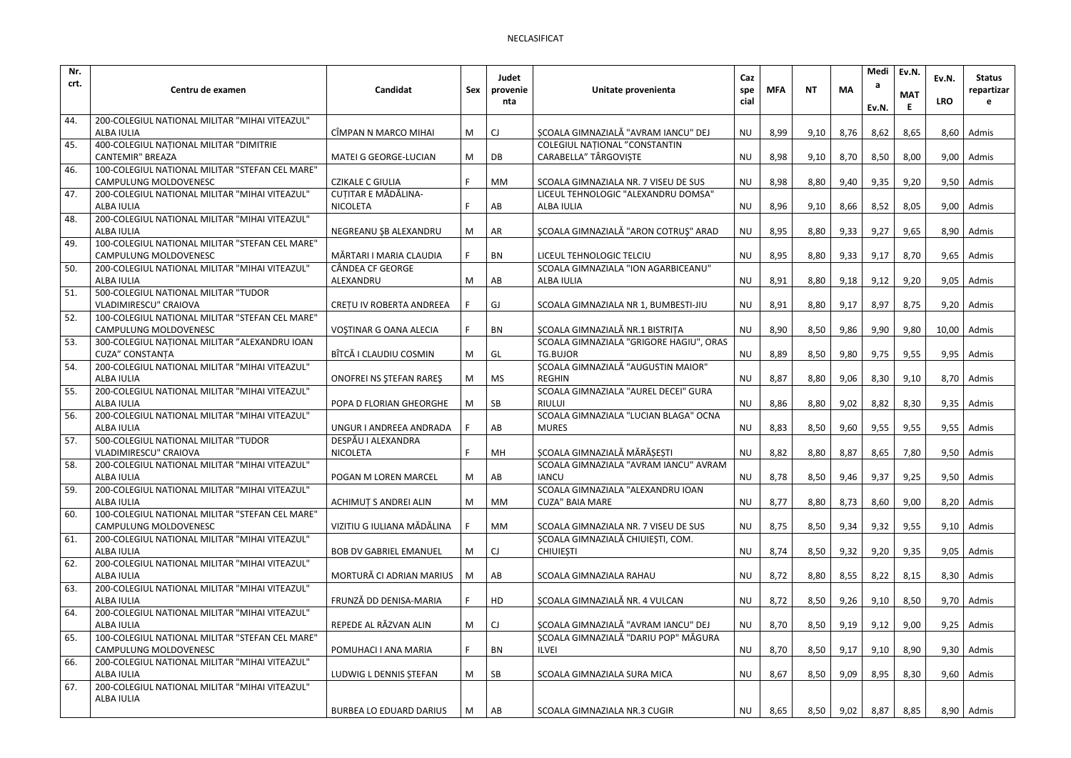| Nr.  |                                                                     |                                |     | Judet     |                                                       | Caz       |            |           |           | Medi  | Ev.N.      | Ev.N.         | <b>Status</b> |
|------|---------------------------------------------------------------------|--------------------------------|-----|-----------|-------------------------------------------------------|-----------|------------|-----------|-----------|-------|------------|---------------|---------------|
| crt. | Centru de examen                                                    | Candidat                       | Sex | provenie  | Unitate provenienta                                   | spe       | <b>MFA</b> | <b>NT</b> | <b>MA</b> | а     | <b>MAT</b> |               | repartizar    |
|      |                                                                     |                                |     | nta       |                                                       | cial      |            |           |           | Ev.N. |            | <b>LRO</b>    |               |
| 44.  | 200-COLEGIUL NATIONAL MILITAR "MIHAI VITEAZUL"                      |                                |     |           |                                                       |           |            |           |           |       |            |               |               |
|      | <b>ALBA IULIA</b>                                                   | CÎMPAN N MARCO MIHAI           | M   | CJ        | SCOALA GIMNAZIALĂ "AVRAM IANCU" DEJ                   | <b>NU</b> | 8,99       | 9,10      | 8,76      | 8,62  | 8,65       |               | $8,60$ Admis  |
| 45.  | 400-COLEGIUL NAȚIONAL MILITAR "DIMITRIE                             |                                |     |           | <b>COLEGIUL NATIONAL "CONSTANTIN</b>                  |           |            |           |           |       |            |               |               |
|      | <b>CANTEMIR" BREAZA</b>                                             | <b>MATEI G GEORGE-LUCIAN</b>   | M   | DB        | CARABELLA" TÂRGOVISTE                                 | <b>NU</b> | 8,98       | 9,10      | 8,70      | 8,50  | 8,00       |               | $9,00$ Admis  |
| 46.  | 100-COLEGIUL NATIONAL MILITAR "STEFAN CEL MARE"                     |                                |     |           |                                                       |           |            |           |           |       |            |               |               |
|      | CAMPULUNG MOLDOVENESC                                               | <b>CZIKALE C GIULIA</b>        | F.  | <b>MM</b> | SCOALA GIMNAZIALA NR. 7 VISEU DE SUS                  | <b>NU</b> | 8,98       | 8,80      | 9,40      | 9,35  | 9,20       |               | $9,50$ Admis  |
| 47.  | 200-COLEGIUL NATIONAL MILITAR "MIHAI VITEAZUL"<br>ALBA IULIA        | <b>CUTITAR E MĂDĂLINA-</b>     | F.  |           | LICEUL TEHNOLOGIC "ALEXANDRU DOMSA"                   |           |            |           |           |       |            |               |               |
| 48.  | 200-COLEGIUL NATIONAL MILITAR "MIHAI VITEAZUL"                      | <b>NICOLETA</b>                |     | AB        | <b>ALBA IULIA</b>                                     | <b>NU</b> | 8,96       | 9,10      | 8,66      | 8,52  | 8,05       |               | $9,00$ Admis  |
|      | <b>ALBA IULIA</b>                                                   | NEGREANU ŞB ALEXANDRU          | M   | AR        | ȘCOALA GIMNAZIALĂ "ARON COTRUȘ" ARAD                  | <b>NU</b> | 8,95       | 8,80      | 9,33      | 9,27  | 9,65       |               | $8,90$ Admis  |
| 49.  | 100-COLEGIUL NATIONAL MILITAR "STEFAN CEL MARE"                     |                                |     |           |                                                       |           |            |           |           |       |            |               |               |
|      | <b>CAMPULUNG MOLDOVENESC</b>                                        | MĂRTARI I MARIA CLAUDIA        | F.  | BN        | LICEUL TEHNOLOGIC TELCIU                              | <b>NU</b> | 8,95       | 8,80      | 9,33      | 9,17  | 8,70       | 9,65          | Admis         |
| 50.  | 200-COLEGIUL NATIONAL MILITAR "MIHAI VITEAZUL"                      | CÂNDEA CF GEORGE               |     |           | SCOALA GIMNAZIALA "ION AGARBICEANU"                   |           |            |           |           |       |            |               |               |
|      | <b>ALBA IULIA</b>                                                   | ALEXANDRU                      | M   | AB        | <b>ALBA IULIA</b>                                     | <b>NU</b> | 8,91       | 8,80      | 9,18      | 9,12  | 9,20       | 9,05          | Admis         |
| 51   | 500-COLEGIUL NATIONAL MILITAR "TUDOR                                |                                |     |           |                                                       |           |            |           |           |       |            |               |               |
|      | <b>VLADIMIRESCU" CRAIOVA</b>                                        | CRETU IV ROBERTA ANDREEA       | F.  | GJ        | SCOALA GIMNAZIALA NR 1, BUMBESTI-JIU                  | <b>NU</b> | 8,91       | 8,80      | 9,17      | 8,97  | 8,75       | 9,20          | Admis         |
| 52.  | 100-COLEGIUL NATIONAL MILITAR "STEFAN CEL MARE"                     |                                |     |           |                                                       |           |            |           |           |       |            |               |               |
|      | CAMPULUNG MOLDOVENESC                                               | VOŞTINAR G OANA ALECIA         |     | <b>BN</b> | ȘCOALA GIMNAZIALĂ NR.1 BISTRIȚA                       | <b>NU</b> | 8,90       | 8,50      | 9,86      | 9,90  | 9,80       | $10,00$ Admis |               |
| 53.  | 300-COLEGIUL NAȚIONAL MILITAR "ALEXANDRU IOAN                       |                                |     |           | SCOALA GIMNAZIALA "GRIGORE HAGIU", ORAS               |           |            |           |           |       |            |               |               |
|      | <b>CUZA" CONSTANȚA</b>                                              | BÎTCĂ I CLAUDIU COSMIN         | M   | GL        | <b>TG.BUJOR</b><br>ȘCOALA GIMNAZIALĂ "AUGUSTIN MAIOR" | <b>NU</b> | 8,89       | 8,50      | 9,80      | 9,75  | 9,55       | 9,95          | Admis         |
| 54.  | 200-COLEGIUL NATIONAL MILITAR "MIHAI VITEAZUL"<br><b>ALBA IULIA</b> | ONOFREI NS STEFAN RARES        | M   | <b>MS</b> | <b>REGHIN</b>                                         | <b>NU</b> | 8,87       | 8,80      | 9,06      | 8,30  | 9,10       |               | 8,70 Admis    |
| 55.  | 200-COLEGIUL NATIONAL MILITAR "MIHAI VITEAZUL"                      |                                |     |           | SCOALA GIMNAZIALA "AUREL DECEI" GURA                  |           |            |           |           |       |            |               |               |
|      | ALBA IULIA                                                          | POPA D FLORIAN GHEORGHE        | M   | SB        | <b>RIULUI</b>                                         | <b>NU</b> | 8,86       | 8,80      | 9,02      | 8,82  | 8,30       |               | $9,35$ Admis  |
| 56.  | 200-COLEGIUL NATIONAL MILITAR "MIHAI VITEAZUL"                      |                                |     |           | SCOALA GIMNAZIALA "LUCIAN BLAGA" OCNA                 |           |            |           |           |       |            |               |               |
|      | <b>ALBA IULIA</b>                                                   | UNGUR I ANDREEA ANDRADA        | F.  | AB        | <b>MURES</b>                                          | <b>NU</b> | 8,83       | 8,50      | 9,60      | 9,55  | 9,55       | 9,55          | Admis         |
| 57.  | 500-COLEGIUL NATIONAL MILITAR "TUDOR                                | DESPĂU I ALEXANDRA             |     |           |                                                       |           |            |           |           |       |            |               |               |
|      | VLADIMIRESCU" CRAIOVA                                               | <b>NICOLETA</b>                |     | MH        | ȘCOALA GIMNAZIALĂ MĂRĂȘEȘTI                           | <b>NU</b> | 8,82       | 8,80      | 8,87      | 8,65  | 7,80       |               | $9,50$ Admis  |
| 58.  | 200-COLEGIUL NATIONAL MILITAR "MIHAI VITEAZUL"                      |                                |     |           | SCOALA GIMNAZIALA "AVRAM IANCU" AVRAM                 |           |            |           |           |       |            |               |               |
|      | ALBA IULIA                                                          | POGAN M LOREN MARCEL           | M   | AB        | <b>IANCU</b>                                          | <b>NU</b> | 8,78       | 8,50      | 9,46      | 9,37  | 9,25       |               | $9,50$ Admis  |
| 59.  | 200-COLEGIUL NATIONAL MILITAR "MIHAI VITEAZUL"                      |                                |     |           | SCOALA GIMNAZIALA "ALEXANDRU IOAN                     |           |            |           |           |       |            |               |               |
|      | <b>ALBA IULIA</b>                                                   | <b>ACHIMUT S ANDREI ALIN</b>   | M   | MM        | <b>CUZA" BAIA MARE</b>                                | <b>NU</b> | 8,77       | 8,80      | 8,73      | 8,60  | 9,00       |               | $8,20$ Admis  |
| 60.  | 100-COLEGIUL NATIONAL MILITAR "STEFAN CEL MARE"                     |                                |     |           |                                                       |           |            |           |           |       |            |               |               |
|      | <b>CAMPULUNG MOLDOVENESC</b>                                        | VIZITIU G IULIANA MĂDĂLINA     |     | MM        | SCOALA GIMNAZIALA NR. 7 VISEU DE SUS                  | <b>NU</b> | 8,75       | 8,50      | 9,34      | 9,32  | 9,55       |               | $9,10$ Admis  |
| 61.  | 200-COLEGIUL NATIONAL MILITAR "MIHAI VITEAZUL"<br>ALBA IULIA        |                                |     |           | ȘCOALA GIMNAZIALĂ CHIUIEȘTI, COM.<br><b>CHIUIESTI</b> | <b>NU</b> | 8,74       | 8,50      |           |       |            | 9,05          | Admis         |
| 62.  | 200-COLEGIUL NATIONAL MILITAR "MIHAI VITEAZUL"                      | <b>BOB DV GABRIEL EMANUEL</b>  | M   | CJ        |                                                       |           |            |           | 9,32      | 9,20  | 9,35       |               |               |
|      | ALBA IULIA                                                          | MORTURĂ CI ADRIAN MARIUS       | M   | AB        | SCOALA GIMNAZIALA RAHAU                               | <b>NU</b> | 8,72       | 8,80      | 8,55      | 8,22  | 8,15       |               | $8,30$ Admis  |
| 63.  | 200-COLEGIUL NATIONAL MILITAR "MIHAI VITEAZUL"                      |                                |     |           |                                                       |           |            |           |           |       |            |               |               |
|      | ALBA IULIA                                                          | FRUNZĂ DD DENISA-MARIA         | F.  | HD        | ȘCOALA GIMNAZIALĂ NR. 4 VULCAN                        | <b>NU</b> | 8,72       | 8,50      | 9,26      | 9,10  | 8,50       |               | $9,70$ Admis  |
| 64.  | 200-COLEGIUL NATIONAL MILITAR "MIHAI VITEAZUL"                      |                                |     |           |                                                       |           |            |           |           |       |            |               |               |
|      | ALBA IULIA                                                          | REPEDE AL RĂZVAN ALIN          | M   | CJ        | SCOALA GIMNAZIALĂ "AVRAM IANCU" DEJ                   | <b>NU</b> | 8,70       | 8,50      | 9,19      | 9,12  | 9,00       |               | $9,25$ Admis  |
| 65.  | 100-COLEGIUL NATIONAL MILITAR "STEFAN CEL MARE"                     |                                |     |           | SCOALA GIMNAZIALĂ "DARIU POP" MĂGURA                  |           |            |           |           |       |            |               |               |
|      | CAMPULUNG MOLDOVENESC                                               | POMUHACI I ANA MARIA           | F.  | <b>BN</b> | <b>ILVEI</b>                                          | <b>NU</b> | 8,70       | 8,50      | 9,17      | 9,10  | 8,90       |               | $9,30$ Admis  |
| 66.  | 200-COLEGIUL NATIONAL MILITAR "MIHAI VITEAZUL"                      |                                |     |           |                                                       |           |            |           |           |       |            |               |               |
|      | ALBA IULIA                                                          | LUDWIG L DENNIS STEFAN         | M   | SB        | SCOALA GIMNAZIALA SURA MICA                           | <b>NU</b> | 8,67       | 8,50      | 9,09      | 8,95  | 8,30       |               | $9,60$ Admis  |
| 67.  | 200-COLEGIUL NATIONAL MILITAR "MIHAI VITEAZUL"                      |                                |     |           |                                                       |           |            |           |           |       |            |               |               |
|      | ALBA IULIA                                                          |                                |     |           |                                                       |           |            |           |           |       |            |               |               |
|      |                                                                     | <b>BURBEA LO EDUARD DARIUS</b> | M   | AB        | SCOALA GIMNAZIALA NR.3 CUGIR                          | NU        | 8,65       | 8,50      | 9,02      | 8,87  | 8,85       |               | 8,90 Admis    |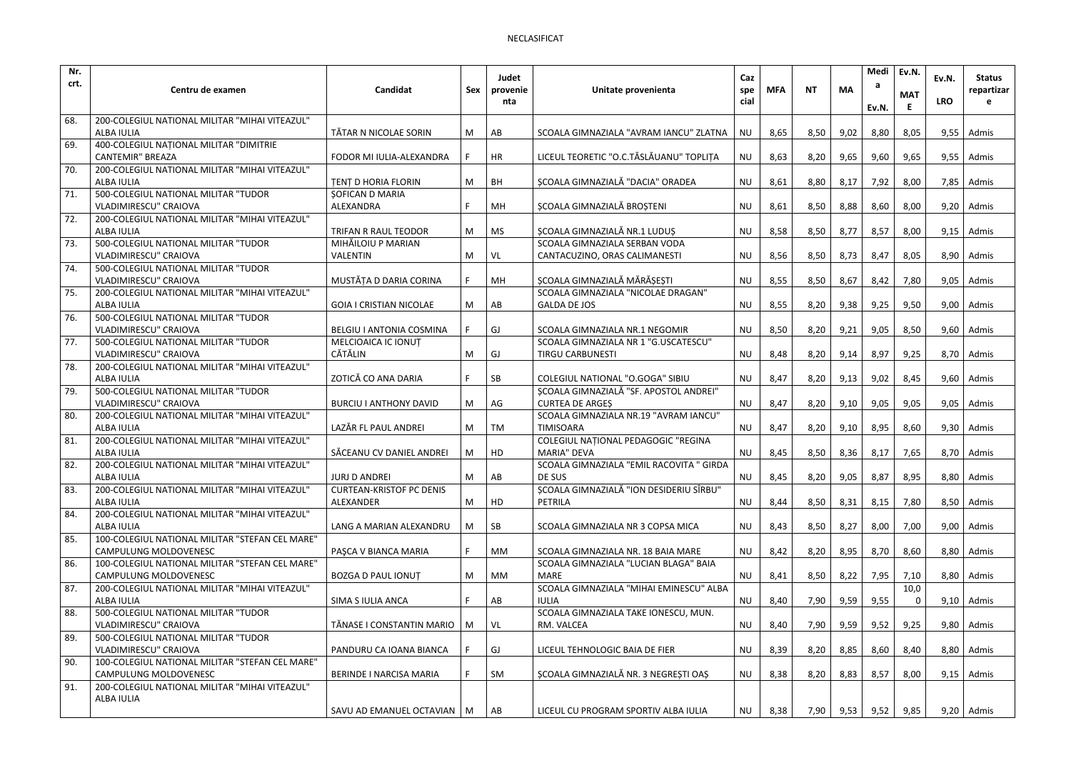| Nr.  |                                                                         |                                       |     | Judet     |                                          | Caz       |            |           |           | Medi  | Ev.N.      | Ev.N.      | <b>Status</b> |
|------|-------------------------------------------------------------------------|---------------------------------------|-----|-----------|------------------------------------------|-----------|------------|-----------|-----------|-------|------------|------------|---------------|
| crt. | Centru de examen                                                        | Candidat                              | Sex | provenie  | Unitate provenienta                      | spe       | <b>MFA</b> | <b>NT</b> | <b>MA</b> | а     |            |            | repartizar    |
|      |                                                                         |                                       |     | nta       |                                          | cial      |            |           |           |       | <b>MAT</b> | <b>LRO</b> |               |
| 68.  | 200-COLEGIUL NATIONAL MILITAR "MIHAI VITEAZUL"                          |                                       |     |           |                                          |           |            |           |           | Ev.N. |            |            |               |
|      | <b>ALBA IULIA</b>                                                       | TĂTAR N NICOLAE SORIN                 | M   | AB        | SCOALA GIMNAZIALA "AVRAM IANCU" ZLATNA   | <b>NU</b> | 8,65       | 8,50      | 9,02      | 8,80  | 8,05       |            | $9,55$ Admis  |
| 69.  | 400-COLEGIUL NAȚIONAL MILITAR "DIMITRIE                                 |                                       |     |           |                                          |           |            |           |           |       |            |            |               |
|      | <b>CANTEMIR" BREAZA</b>                                                 | FODOR MI IULIA-ALEXANDRA              |     | <b>HR</b> | LICEUL TEORETIC "O.C.TĂSLĂUANU" TOPLIȚA  | <b>NU</b> | 8,63       | 8,20      | 9,65      | 9,60  | 9,65       |            | $9,55$ Admis  |
| 70.  | 200-COLEGIUL NATIONAL MILITAR "MIHAI VITEAZUL"                          |                                       |     |           |                                          |           |            |           |           |       |            |            |               |
|      | <b>ALBA IULIA</b>                                                       | <b>TENT D HORIA FLORIN</b>            | M   | <b>BH</b> | SCOALA GIMNAZIALĂ "DACIA" ORADEA         | <b>NU</b> | 8,61       | 8,80      | 8,17      | 7,92  | 8,00       | 7,85       | Admis         |
| 71.  | 500-COLEGIUL NATIONAL MILITAR "TUDOR                                    | <b>SOFICAN D MARIA</b>                |     |           |                                          |           |            |           |           |       |            |            |               |
|      | <b>VLADIMIRESCU" CRAIOVA</b>                                            | ALEXANDRA                             |     | MH        | ȘCOALA GIMNAZIALĂ BROȘTENI               | <b>NU</b> | 8,61       | 8,50      | 8,88      | 8,60  | 8,00       | 9,20       | Admis         |
| 72.  | 200-COLEGIUL NATIONAL MILITAR "MIHAI VITEAZUL"                          |                                       |     |           |                                          |           |            |           |           |       |            |            |               |
|      | <b>ALBA IULIA</b>                                                       | TRIFAN R RAUL TEODOR                  | M   | MS        | ȘCOALA GIMNAZIALĂ NR.1 LUDUȘ             | <b>NU</b> | 8,58       | 8,50      | 8,77      | 8,57  | 8,00       |            | $9,15$ Admis  |
| 73.  | 500-COLEGIUL NATIONAL MILITAR "TUDOR                                    | MIHĂILOIU P MARIAN                    |     |           | SCOALA GIMNAZIALA SERBAN VODA            |           |            |           |           |       |            |            |               |
|      | VLADIMIRESCU" CRAIOVA                                                   | <b>VALENTIN</b>                       | M   | VL        | CANTACUZINO, ORAS CALIMANESTI            | <b>NU</b> | 8,56       | 8,50      | 8,73      | 8,47  | 8,05       | 8,90       | Admis         |
| 74.  | 500-COLEGIUL NATIONAL MILITAR "TUDOR                                    |                                       |     |           |                                          |           |            |           |           |       |            |            |               |
|      | VLADIMIRESCU" CRAIOVA                                                   | MUSTĂȚA D DARIA CORINA                |     | MH        | SCOALA GIMNAZIALĂ MĂRĂȘEȘTI              | <b>NU</b> | 8,55       | 8,50      | 8,67      | 8,42  | 7,80       | 9,05       | Admis         |
| 75.  | 200-COLEGIUL NATIONAL MILITAR "MIHAI VITEAZUL"                          |                                       |     |           | SCOALA GIMNAZIALA "NICOLAE DRAGAN"       |           |            |           |           |       |            |            |               |
|      | <b>ALBA IULIA</b>                                                       | <b>GOIA I CRISTIAN NICOLAE</b>        | M   | AB        | <b>GALDA DE JOS</b>                      | <b>NU</b> | 8,55       | 8,20      | 9,38      | 9,25  | 9,50       |            | $9,00$ Admis  |
| 76.  | 500-COLEGIUL NATIONAL MILITAR "TUDOR                                    |                                       |     |           |                                          |           |            |           |           |       |            |            |               |
|      | <b>VLADIMIRESCU" CRAIOVA</b>                                            | BELGIU I ANTONIA COSMINA              |     | GJ        | SCOALA GIMNAZIALA NR.1 NEGOMIR           | <b>NU</b> | 8,50       | 8,20      | 9,21      | 9,05  | 8,50       |            | $9,60$ Admis  |
| 77.  | 500-COLEGIUL NATIONAL MILITAR "TUDOR                                    | MELCIOAICA IC IONUȚ<br><b>CĂTĂLIN</b> |     |           | SCOALA GIMNAZIALA NR 1 "G.USCATESCU"     |           |            |           |           |       |            |            |               |
| 78.  | VLADIMIRESCU" CRAIOVA                                                   |                                       | M   | GJ        | <b>TIRGU CARBUNESTI</b>                  | <b>NU</b> | 8,48       | 8,20      | 9,14      | 8,97  | 9,25       |            | 8,70 Admis    |
|      | 200-COLEGIUL NATIONAL MILITAR "MIHAI VITEAZUL"<br><b>ALBA IULIA</b>     | ZOTICĂ CO ANA DARIA                   | F   | SB        | COLEGIUL NATIONAL "O.GOGA" SIBIU         | <b>NU</b> | 8,47       | 8,20      | 9,13      | 9,02  | 8,45       |            | $9,60$ Admis  |
| 79.  | 500-COLEGIUL NATIONAL MILITAR "TUDOR                                    |                                       |     |           | SCOALA GIMNAZIALĂ "SF. APOSTOL ANDREI"   |           |            |           |           |       |            |            |               |
|      | VLADIMIRESCU" CRAIOVA                                                   | <b>BURCIU I ANTHONY DAVID</b>         | M   | AG        | <b>CURTEA DE ARGES</b>                   | <b>NU</b> | 8,47       | 8,20      | 9,10      | 9,05  | 9,05       | 9,05       | Admis         |
| 80.  | 200-COLEGIUL NATIONAL MILITAR "MIHAI VITEAZUL"                          |                                       |     |           | SCOALA GIMNAZIALA NR.19 "AVRAM IANCU"    |           |            |           |           |       |            |            |               |
|      | <b>ALBA IULIA</b>                                                       | LAZĂR FL PAUL ANDREI                  | M   | TM        | <b>TIMISOARA</b>                         | <b>NU</b> | 8,47       | 8,20      | 9,10      | 8,95  | 8,60       | 9,30       | Admis         |
| 81.  | 200-COLEGIUL NATIONAL MILITAR "MIHAI VITEAZUL"                          |                                       |     |           | COLEGIUL NAȚIONAL PEDAGOGIC "REGINA      |           |            |           |           |       |            |            |               |
|      | <b>ALBA IULIA</b>                                                       | SĂCEANU CV DANIEL ANDREI              | M   | HD        | <b>MARIA" DEVA</b>                       | <b>NU</b> | 8,45       | 8,50      | 8,36      | 8,17  | 7,65       | 8,70       | Admis         |
| 82.  | 200-COLEGIUL NATIONAL MILITAR "MIHAI VITEAZUL"                          |                                       |     |           | SCOALA GIMNAZIALA "EMIL RACOVITA " GIRDA |           |            |           |           |       |            |            |               |
|      | ALBA IULIA                                                              | <b>JURJ D ANDREI</b>                  | M   | AB        | DE SUS                                   | <b>NU</b> | 8,45       | 8,20      | 9,05      | 8,87  | 8,95       |            | $8,80$ Admis  |
| 83.  | 200-COLEGIUL NATIONAL MILITAR "MIHAI VITEAZUL"                          | <b>CURTEAN-KRISTOF PC DENIS</b>       |     |           | SCOALA GIMNAZIALĂ "ION DESIDERIU SÎRBU"  |           |            |           |           |       |            |            |               |
|      | <b>ALBA IULIA</b>                                                       | ALEXANDER                             | M   | HD        | PETRILA                                  | NU        | 8,44       | 8,50      | 8,31      | 8,15  | 7,80       |            | 8,50 Admis    |
| 84.  | 200-COLEGIUL NATIONAL MILITAR "MIHAI VITEAZUL"                          |                                       |     |           |                                          |           |            |           |           |       |            |            |               |
|      | ALBA IULIA                                                              | LANG A MARIAN ALEXANDRU               | M   | SB        | SCOALA GIMNAZIALA NR 3 COPSA MICA        | <b>NU</b> | 8,43       | 8,50      | 8,27      | 8,00  | 7,00       |            | $9,00$ Admis  |
| 85.  | 100-COLEGIUL NATIONAL MILITAR "STEFAN CEL MARE"                         |                                       |     |           |                                          |           |            |           |           |       |            |            |               |
|      | CAMPULUNG MOLDOVENESC                                                   | PAȘCA V BIANCA MARIA                  | F.  | MM        | SCOALA GIMNAZIALA NR. 18 BAIA MARE       | <b>NU</b> | 8,42       | 8,20      | 8,95      | 8,70  | 8,60       |            | 8,80 Admis    |
| 86.  | 100-COLEGIUL NATIONAL MILITAR "STEFAN CEL MARE"                         |                                       |     |           | SCOALA GIMNAZIALA "LUCIAN BLAGA" BAIA    |           |            |           |           |       |            |            |               |
|      | CAMPULUNG MOLDOVENESC                                                   | <b>BOZGA D PAUL IONUT</b>             | M   | МM        | MARE                                     | <b>NU</b> | 8,41       | 8,50      | 8,22      | 7,95  | 7,10       |            | 8,80 Admis    |
| 87.  | 200-COLEGIUL NATIONAL MILITAR "MIHAI VITEAZUL"                          |                                       |     |           | SCOALA GIMNAZIALA "MIHAI EMINESCU" ALBA  |           |            |           |           |       | 10,0       |            |               |
|      | ALBA IULIA                                                              | SIMA S IULIA ANCA                     |     | AB        | <b>IULIA</b>                             | <b>NU</b> | 8,40       | 7,90      | 9,59      | 9,55  |            |            | $9,10$ Admis  |
| 88.  | 500-COLEGIUL NATIONAL MILITAR "TUDOR                                    |                                       |     |           | SCOALA GIMNAZIALA TAKE IONESCU, MUN.     |           |            |           |           |       |            |            |               |
|      | VLADIMIRESCU" CRAIOVA                                                   | TĂNASE I CONSTANTIN MARIO             | M   | VL        | RM. VALCEA                               | NU        | 8,40       | 7,90      | 9,59      | 9,52  | 9,25       |            | $9,80$ Admis  |
| 89.  | 500-COLEGIUL NATIONAL MILITAR "TUDOR                                    |                                       |     |           |                                          |           |            |           |           |       |            |            |               |
|      | VLADIMIRESCU" CRAIOVA                                                   | PANDURU CA IOANA BIANCA               |     | GJ        | LICEUL TEHNOLOGIC BAIA DE FIER           | <b>NU</b> | 8,39       | 8,20      | 8,85      | 8,60  | 8,40       |            | $8,80$ Admis  |
| 90.  | 100-COLEGIUL NATIONAL MILITAR "STEFAN CEL MARE"                         |                                       |     |           | SCOALA GIMNAZIALĂ NR. 3 NEGREȘTI OAȘ     |           |            |           |           |       |            |            |               |
| 91.  | CAMPULUNG MOLDOVENESC<br>200-COLEGIUL NATIONAL MILITAR "MIHAI VITEAZUL" | BERINDE I NARCISA MARIA               |     | SM        |                                          | <b>NU</b> | 8,38       | 8,20      | 8,83      | 8,57  | 8,00       |            | $9,15$ Admis  |
|      | ALBA IULIA                                                              |                                       |     |           |                                          |           |            |           |           |       |            |            |               |
|      |                                                                         | SAVU AD EMANUEL OCTAVIAN   M          |     | AB        | LICEUL CU PROGRAM SPORTIV ALBA IULIA     | <b>NU</b> | 8,38       | 7,90      | 9,53      | 9,52  | 9,85       |            | $9,20$ Admis  |
|      |                                                                         |                                       |     |           |                                          |           |            |           |           |       |            |            |               |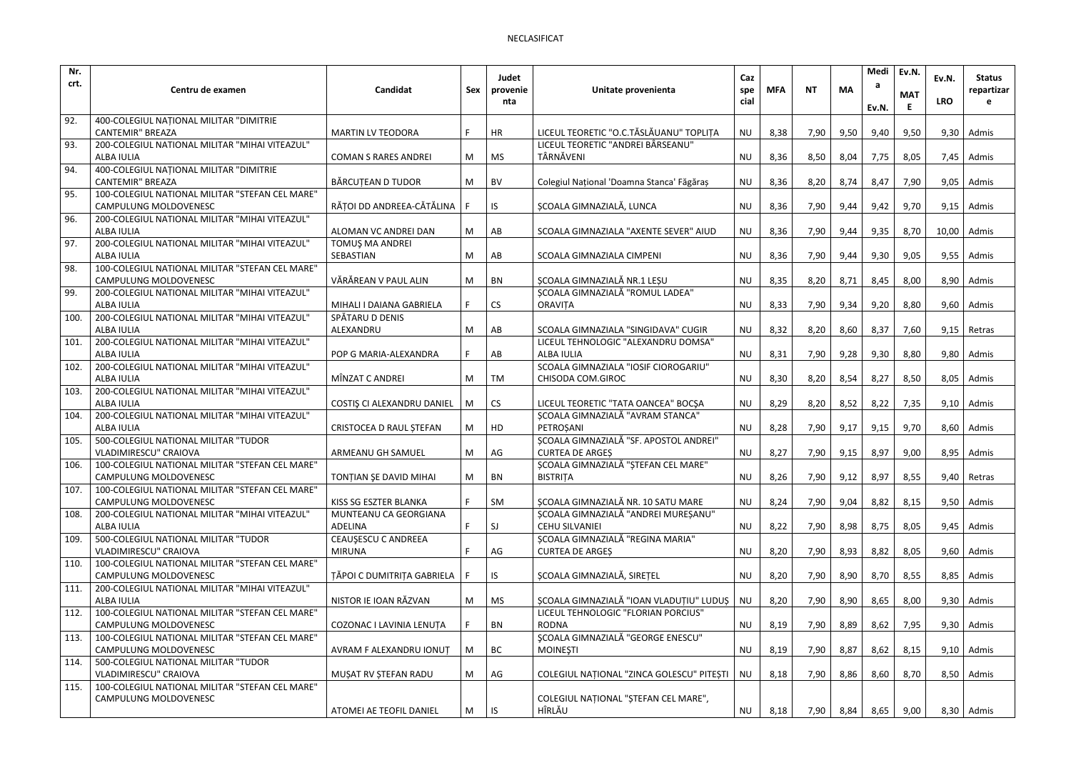| Nr.  |                                                                     |                                             |     | Judet     |                                                              | Caz       |            |           |           | Medi  | Ev.N.      | Ev.N.       | <b>Status</b> |
|------|---------------------------------------------------------------------|---------------------------------------------|-----|-----------|--------------------------------------------------------------|-----------|------------|-----------|-----------|-------|------------|-------------|---------------|
| crt. | Centru de examen                                                    | Candidat                                    | Sex | provenie  | Unitate provenienta                                          | spe       | <b>MFA</b> | <b>NT</b> | <b>MA</b> | а     |            |             | repartizar    |
|      |                                                                     |                                             |     | nta       |                                                              | cial      |            |           |           |       | <b>MAT</b> | <b>LRO</b>  |               |
| 92.  | 400-COLEGIUL NAȚIONAL MILITAR "DIMITRIE                             |                                             |     |           |                                                              |           |            |           |           | Ev.N. |            |             |               |
|      | <b>CANTEMIR" BREAZA</b>                                             | <b>MARTIN LV TEODORA</b>                    | F.  | <b>HR</b> | LICEUL TEORETIC "O.C.TĂSLĂUANU" TOPLIȚA                      | <b>NU</b> | 8,38       | 7,90      | 9,50      | 9,40  | 9,50       | 9,30        | Admis         |
| 93.  | 200-COLEGIUL NATIONAL MILITAR "MIHAI VITEAZUL"                      |                                             |     |           | LICEUL TEORETIC "ANDREI BÂRSEANU"                            |           |            |           |           |       |            |             |               |
|      | <b>ALBA IULIA</b>                                                   | <b>COMAN S RARES ANDREI</b>                 | M   | <b>MS</b> | TÂRNĂVENI                                                    | <b>NU</b> | 8,36       | 8,50      | 8,04      | 7,75  | 8,05       | 7,45        | Admis         |
| 94.  | 400-COLEGIUL NAȚIONAL MILITAR "DIMITRIE                             |                                             |     |           |                                                              |           |            |           |           |       |            |             |               |
|      | <b>CANTEMIR" BREAZA</b>                                             | BĂRCUȚEAN D TUDOR                           | M   | BV        | Colegiul Național 'Doamna Stanca' Făgăraș                    | <b>NU</b> | 8,36       | 8,20      | 8,74      | 8,47  | 7,90       | 9,05        | Admis         |
| 95.  | 100-COLEGIUL NATIONAL MILITAR "STEFAN CEL MARE"                     |                                             |     |           |                                                              |           |            |           |           |       |            |             |               |
|      | <b>CAMPULUNG MOLDOVENESC</b>                                        | RĂȚOI DD ANDREEA-CĂTĂLINA                   | F.  | IS.       | ȘCOALA GIMNAZIALĂ, LUNCA                                     | <b>NU</b> | 8,36       | 7,90      | 9,44      | 9,42  | 9,70       | 9,15        | Admis         |
| 96.  | 200-COLEGIUL NATIONAL MILITAR "MIHAI VITEAZUL"                      |                                             |     |           |                                                              |           |            |           |           |       |            |             |               |
|      | ALBA IULIA                                                          | ALOMAN VC ANDREI DAN                        | M   | AB        | SCOALA GIMNAZIALA "AXENTE SEVER" AIUD                        | <b>NU</b> | 8,36       | 7,90      | 9,44      | 9,35  | 8,70       | 10,00 Admis |               |
| 97.  | 200-COLEGIUL NATIONAL MILITAR "MIHAI VITEAZUL"                      | TOMUŞ MA ANDREI                             |     |           |                                                              |           |            |           |           |       |            |             |               |
|      | <b>ALBA IULIA</b>                                                   | SEBASTIAN                                   | M   | AB        | SCOALA GIMNAZIALA CIMPENI                                    | <b>NU</b> | 8,36       | 7,90      | 9,44      | 9,30  | 9,05       | 9,55        | Admis         |
| 98.  | 100-COLEGIUL NATIONAL MILITAR "STEFAN CEL MARE"                     |                                             |     |           |                                                              |           |            |           |           |       |            |             |               |
|      | <b>CAMPULUNG MOLDOVENESC</b>                                        | VĂRĂREAN V PAUL ALIN                        | M   | <b>BN</b> | ȘCOALA GIMNAZIALĂ NR.1 LEȘU                                  | <b>NU</b> | 8,35       | 8,20      | 8,71      | 8,45  | 8,00       |             | $8,90$ Admis  |
| 99.  | 200-COLEGIUL NATIONAL MILITAR "MIHAI VITEAZUL"                      |                                             |     |           | SCOALA GIMNAZIALĂ "ROMUL LADEA"                              |           |            |           |           |       |            |             |               |
| 100. | <b>ALBA IULIA</b><br>200-COLEGIUL NATIONAL MILITAR "MIHAI VITEAZUL" | MIHALI I DAIANA GABRIELA<br>SPĂTARU D DENIS | F.  | CS        | <b>ORAVITA</b>                                               | <b>NU</b> | 8,33       | 7,90      | 9,34      | 9,20  | 8,80       |             | $9,60$ Admis  |
|      | <b>ALBA IULIA</b>                                                   | ALEXANDRU                                   | M   | AB        | SCOALA GIMNAZIALA "SINGIDAVA" CUGIR                          | <b>NU</b> | 8,32       | 8,20      | 8,60      | 8,37  | 7,60       | 9,15        | Retras        |
| 101. | 200-COLEGIUL NATIONAL MILITAR "MIHAI VITEAZUL"                      |                                             |     |           | LICEUL TEHNOLOGIC "ALEXANDRU DOMSA"                          |           |            |           |           |       |            |             |               |
|      | <b>ALBA IULIA</b>                                                   | POP G MARIA-ALEXANDRA                       | F.  | AB        | <b>ALBA IULIA</b>                                            | <b>NU</b> | 8,31       | 7,90      | 9,28      | 9,30  | 8,80       | 9,80        | Admis         |
| 102. | 200-COLEGIUL NATIONAL MILITAR "MIHAI VITEAZUL"                      |                                             |     |           | SCOALA GIMNAZIALA "IOSIF CIOROGARIU"                         |           |            |           |           |       |            |             |               |
|      | <b>ALBA IULIA</b>                                                   | MÎNZAT C ANDREI                             | M   | TM        | CHISODA COM.GIROC                                            | <b>NU</b> | 8,30       | 8,20      | 8,54      | 8,27  | 8,50       | 8,05        | Admis         |
| 103. | 200-COLEGIUL NATIONAL MILITAR "MIHAI VITEAZUL"                      |                                             |     |           |                                                              |           |            |           |           |       |            |             |               |
|      | <b>ALBA IULIA</b>                                                   | COSTIŞ CI ALEXANDRU DANIEL                  | M   | <b>CS</b> | LICEUL TEORETIC "TATA OANCEA" BOCSA                          | <b>NU</b> | 8,29       | 8,20      | 8,52      | 8,22  | 7,35       | 9,10        | Admis         |
| 104. | 200-COLEGIUL NATIONAL MILITAR "MIHAI VITEAZUL"                      |                                             |     |           | ȘCOALA GIMNAZIALĂ "AVRAM STANCA"                             |           |            |           |           |       |            |             |               |
|      | ALBA IULIA                                                          | CRISTOCEA D RAUL ȘTEFAN                     | M   | HD        | PETROSANI                                                    | <b>NU</b> | 8,28       | 7,90      | 9,17      | 9,15  | 9,70       | 8,60        | Admis         |
| 105. | 500-COLEGIUL NATIONAL MILITAR "TUDOR                                |                                             |     |           | ȘCOALA GIMNAZIALĂ "SF. APOSTOL ANDREI"                       |           |            |           |           |       |            |             |               |
|      | VLADIMIRESCU" CRAIOVA                                               | ARMEANU GH SAMUEL                           | M   | AG        | <b>CURTEA DE ARGES</b>                                       | <b>NU</b> | 8,27       | 7,90      | 9,15      | 8,97  | 9,00       | 8,95        | Admis         |
| 106. | 100-COLEGIUL NATIONAL MILITAR "STEFAN CEL MARE"                     |                                             |     |           | ȘCOALA GIMNAZIALĂ "ȘTEFAN CEL MARE"                          |           |            |           |           |       |            |             |               |
|      | CAMPULUNG MOLDOVENESC                                               | TONȚIAN ȘE DAVID MIHAI                      | M   | <b>BN</b> | <b>BISTRITA</b>                                              | <b>NU</b> | 8,26       | 7,90      | 9,12      | 8,97  | 8,55       |             | $9,40$ Retras |
| 107. | 100-COLEGIUL NATIONAL MILITAR "STEFAN CEL MARE"                     |                                             |     |           |                                                              |           |            |           |           |       |            |             |               |
|      | CAMPULUNG MOLDOVENESC                                               | KISS SG ESZTER BLANKA                       | F.  | SM        | ȘCOALA GIMNAZIALĂ NR. 10 SATU MARE                           | <b>NU</b> | 8,24       | 7,90      | 9,04      | 8,82  | 8,15       |             | $9,50$ Admis  |
| 108. | 200-COLEGIUL NATIONAL MILITAR "MIHAI VITEAZUL"<br>ALBA IULIA        | MUNTEANU CA GEORGIANA<br>ADELINA            | F.  |           | SCOALA GIMNAZIALĂ "ANDREI MUREȘANU"<br><b>CEHU SILVANIEI</b> |           |            |           |           |       |            |             |               |
| 109. | 500-COLEGIUL NATIONAL MILITAR "TUDOR                                | CEAUŞESCU C ANDREEA                         |     | SJ        | ȘCOALA GIMNAZIALĂ "REGINA MARIA"                             | <b>NU</b> | 8,22       | 7,90      | 8,98      | 8,75  | 8,05       |             | $9,45$ Admis  |
|      | VLADIMIRESCU" CRAIOVA                                               | <b>MIRUNA</b>                               | F.  | AG        | <b>CURTEA DE ARGES</b>                                       | <b>NU</b> | 8,20       | 7,90      | 8,93      | 8,82  | 8,05       |             | $9,60$ Admis  |
| 110. | 100-COLEGIUL NATIONAL MILITAR "STEFAN CEL MARE"                     |                                             |     |           |                                                              |           |            |           |           |       |            |             |               |
|      | CAMPULUNG MOLDOVENESC                                               | ȚĂPOI C DUMITRIȚA GABRIELA                  | F.  | IS        | SCOALA GIMNAZIALĂ, SIREȚEL                                   | <b>NU</b> | 8,20       | 7,90      | 8,90      | 8,70  | 8,55       |             | 8,85 Admis    |
| 111. | 200-COLEGIUL NATIONAL MILITAR "MIHAI VITEAZUL"                      |                                             |     |           |                                                              |           |            |           |           |       |            |             |               |
|      | ALBA IULIA                                                          | NISTOR IE IOAN RĂZVAN                       | M   | <b>MS</b> | ȘCOALA GIMNAZIALĂ "IOAN VLADUȚIU" LUDUȘ                      | <b>NU</b> | 8,20       | 7,90      | 8,90      | 8,65  | 8,00       |             | $9,30$ Admis  |
| 112. | 100-COLEGIUL NATIONAL MILITAR "STEFAN CEL MARE"                     |                                             |     |           | LICEUL TEHNOLOGIC "FLORIAN PORCIUS"                          |           |            |           |           |       |            |             |               |
|      | CAMPULUNG MOLDOVENESC                                               | COZONAC I LAVINIA LENUȚA                    |     | BN        | <b>RODNA</b>                                                 | NU        | 8,19       | 7,90      | 8,89      | 8,62  | 7,95       |             | $9,30$ Admis  |
| 113. | 100-COLEGIUL NATIONAL MILITAR "STEFAN CEL MARE"                     |                                             |     |           | ȘCOALA GIMNAZIALĂ "GEORGE ENESCU"                            |           |            |           |           |       |            |             |               |
|      | CAMPULUNG MOLDOVENESC                                               | AVRAM F ALEXANDRU IONUT                     | M   | BC        | <b>MOINESTI</b>                                              | NU        | 8,19       | 7,90      | 8,87      | 8,62  | 8,15       |             | $9,10$ Admis  |
| 114. | 500-COLEGIUL NATIONAL MILITAR "TUDOR                                |                                             |     |           |                                                              |           |            |           |           |       |            |             |               |
|      | VLADIMIRESCU" CRAIOVA                                               | MUSAT RV STEFAN RADU                        | M   | AG        | COLEGIUL NAȚIONAL "ZINCA GOLESCU" PITEȘTI                    | <b>NU</b> | 8,18       | 7,90      | 8,86      | 8,60  | 8,70       |             | $8,50$ Admis  |
| 115. | 100-COLEGIUL NATIONAL MILITAR "STEFAN CEL MARE"                     |                                             |     |           |                                                              |           |            |           |           |       |            |             |               |
|      | CAMPULUNG MOLDOVENESC                                               | ATOMEI AE TEOFIL DANIEL                     | M   | <b>IS</b> | COLEGIUL NAȚIONAL "ȘTEFAN CEL MARE",<br>HÎRLĂU               | NU        | 8,18       | 7,90      |           | 8,65  | 9,00       |             | $8,30$ Admis  |
|      |                                                                     |                                             |     |           |                                                              |           |            |           | 8,84      |       |            |             |               |